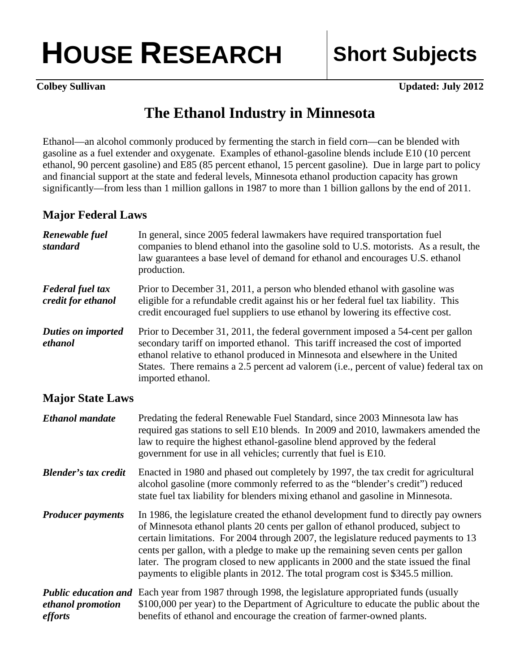## **HOUSE RESEARCH Short Subjects**

**Colbey Sullivan Updated: July 2012** 

## **The Ethanol Industry in Minnesota**

Ethanol—an alcohol commonly produced by fermenting the starch in field corn—can be blended with gasoline as a fuel extender and oxygenate. Examples of ethanol-gasoline blends include E10 (10 percent ethanol, 90 percent gasoline) and E85 (85 percent ethanol, 15 percent gasoline). Due in large part to policy and financial support at the state and federal levels, Minnesota ethanol production capacity has grown significantly—from less than 1 million gallons in 1987 to more than 1 billion gallons by the end of 2011.

## **Major Federal Laws**

| Renewable fuel<br>standard                    | In general, since 2005 federal lawmakers have required transportation fuel<br>companies to blend ethanol into the gasoline sold to U.S. motorists. As a result, the<br>law guarantees a base level of demand for ethanol and encourages U.S. ethanol<br>production.                                                                                                                                                                                                                                                       |
|-----------------------------------------------|---------------------------------------------------------------------------------------------------------------------------------------------------------------------------------------------------------------------------------------------------------------------------------------------------------------------------------------------------------------------------------------------------------------------------------------------------------------------------------------------------------------------------|
| <b>Federal fuel tax</b><br>credit for ethanol | Prior to December 31, 2011, a person who blended ethanol with gasoline was<br>eligible for a refundable credit against his or her federal fuel tax liability. This<br>credit encouraged fuel suppliers to use ethanol by lowering its effective cost.                                                                                                                                                                                                                                                                     |
| <b>Duties on imported</b><br>ethanol          | Prior to December 31, 2011, the federal government imposed a 54-cent per gallon<br>secondary tariff on imported ethanol. This tariff increased the cost of imported<br>ethanol relative to ethanol produced in Minnesota and elsewhere in the United<br>States. There remains a 2.5 percent ad valorem (i.e., percent of value) federal tax on<br>imported ethanol.                                                                                                                                                       |
| <b>Major State Laws</b>                       |                                                                                                                                                                                                                                                                                                                                                                                                                                                                                                                           |
| <b>Ethanol</b> mandate                        | Predating the federal Renewable Fuel Standard, since 2003 Minnesota law has<br>required gas stations to sell E10 blends. In 2009 and 2010, lawmakers amended the<br>law to require the highest ethanol-gasoline blend approved by the federal<br>government for use in all vehicles; currently that fuel is E10.                                                                                                                                                                                                          |
| <b>Blender's tax credit</b>                   | Enacted in 1980 and phased out completely by 1997, the tax credit for agricultural<br>alcohol gasoline (more commonly referred to as the "blender's credit") reduced<br>state fuel tax liability for blenders mixing ethanol and gasoline in Minnesota.                                                                                                                                                                                                                                                                   |
| <b>Producer payments</b>                      | In 1986, the legislature created the ethanol development fund to directly pay owners<br>of Minnesota ethanol plants 20 cents per gallon of ethanol produced, subject to<br>certain limitations. For 2004 through 2007, the legislature reduced payments to 13<br>cents per gallon, with a pledge to make up the remaining seven cents per gallon<br>later. The program closed to new applicants in 2000 and the state issued the final<br>payments to eligible plants in 2012. The total program cost is \$345.5 million. |
| ethanol promotion<br>efforts                  | <b>Public education and</b> Each year from 1987 through 1998, the legislature appropriated funds (usually<br>\$100,000 per year) to the Department of Agriculture to educate the public about the<br>benefits of ethanol and encourage the creation of farmer-owned plants.                                                                                                                                                                                                                                               |